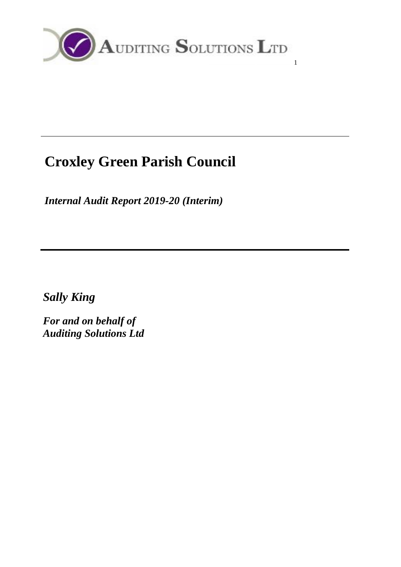

# **Croxley Green Parish Council**

*Internal Audit Report 2019-20 (Interim)*

*Sally King*

*For and on behalf of Auditing Solutions Ltd*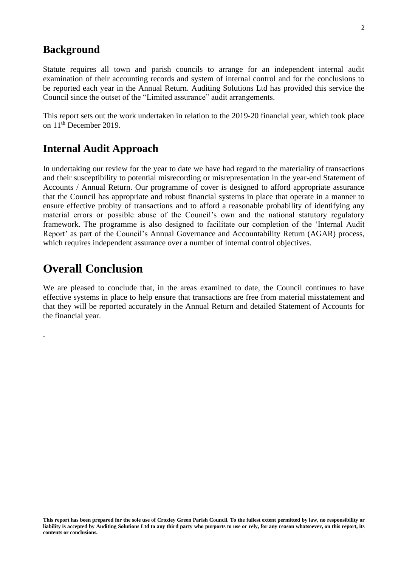#### **Background**

Statute requires all town and parish councils to arrange for an independent internal audit examination of their accounting records and system of internal control and for the conclusions to be reported each year in the Annual Return. Auditing Solutions Ltd has provided this service the Council since the outset of the "Limited assurance" audit arrangements.

This report sets out the work undertaken in relation to the 2019-20 financial year, which took place on 11<sup>th</sup> December 2019.

## **Internal Audit Approach**

In undertaking our review for the year to date we have had regard to the materiality of transactions and their susceptibility to potential misrecording or misrepresentation in the year-end Statement of Accounts / Annual Return. Our programme of cover is designed to afford appropriate assurance that the Council has appropriate and robust financial systems in place that operate in a manner to ensure effective probity of transactions and to afford a reasonable probability of identifying any material errors or possible abuse of the Council's own and the national statutory regulatory framework. The programme is also designed to facilitate our completion of the 'Internal Audit Report' as part of the Council's Annual Governance and Accountability Return (AGAR) process, which requires independent assurance over a number of internal control objectives.

## **Overall Conclusion**

.

We are pleased to conclude that, in the areas examined to date, the Council continues to have effective systems in place to help ensure that transactions are free from material misstatement and that they will be reported accurately in the Annual Return and detailed Statement of Accounts for the financial year.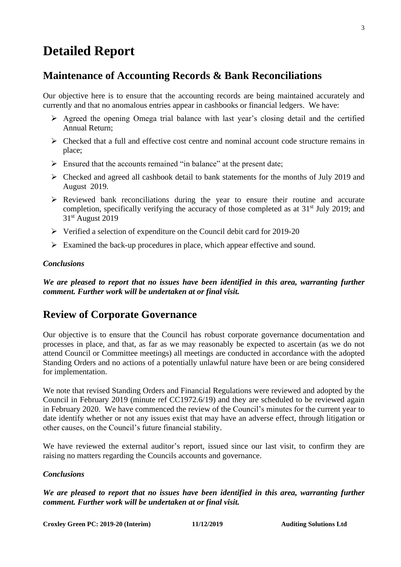## **Detailed Report**

### **Maintenance of Accounting Records & Bank Reconciliations**

Our objective here is to ensure that the accounting records are being maintained accurately and currently and that no anomalous entries appear in cashbooks or financial ledgers. We have:

- $\triangleright$  Agreed the opening Omega trial balance with last year's closing detail and the certified Annual Return;
- $\triangleright$  Checked that a full and effective cost centre and nominal account code structure remains in place;
- $\triangleright$  Ensured that the accounts remained "in balance" at the present date;
- ➢ Checked and agreed all cashbook detail to bank statements for the months of July 2019 and August 2019.
- ➢ Reviewed bank reconciliations during the year to ensure their routine and accurate completion, specifically verifying the accuracy of those completed as at 31<sup>st</sup> July 2019; and 31st August 2019
- ➢ Verified a selection of expenditure on the Council debit card for 2019-20
- $\triangleright$  Examined the back-up procedures in place, which appear effective and sound.

#### *Conclusions*

*We are pleased to report that no issues have been identified in this area, warranting further comment. Further work will be undertaken at or final visit.*

### **Review of Corporate Governance**

Our objective is to ensure that the Council has robust corporate governance documentation and processes in place, and that, as far as we may reasonably be expected to ascertain (as we do not attend Council or Committee meetings) all meetings are conducted in accordance with the adopted Standing Orders and no actions of a potentially unlawful nature have been or are being considered for implementation.

We note that revised Standing Orders and Financial Regulations were reviewed and adopted by the Council in February 2019 (minute ref CC1972.6/19) and they are scheduled to be reviewed again in February 2020. We have commenced the review of the Council's minutes for the current year to date identify whether or not any issues exist that may have an adverse effect, through litigation or other causes, on the Council's future financial stability.

We have reviewed the external auditor's report, issued since our last visit, to confirm they are raising no matters regarding the Councils accounts and governance.

#### *Conclusions*

*We are pleased to report that no issues have been identified in this area, warranting further comment. Further work will be undertaken at or final visit.*

**Croxley Green PC: 2019-20 (Interim) 11/12/2019 Auditing Solutions Ltd**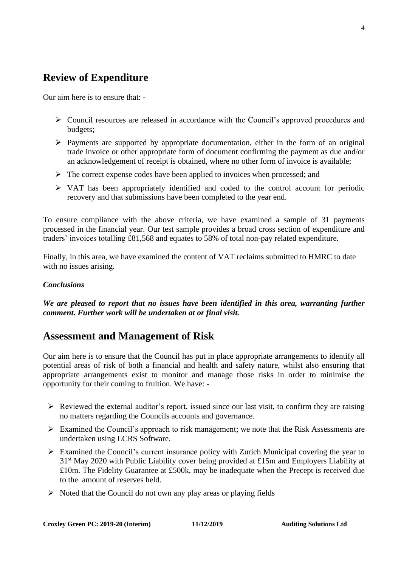## **Review of Expenditure**

Our aim here is to ensure that: -

- ➢ Council resources are released in accordance with the Council's approved procedures and budgets;
- ➢ Payments are supported by appropriate documentation, either in the form of an original trade invoice or other appropriate form of document confirming the payment as due and/or an acknowledgement of receipt is obtained, where no other form of invoice is available;
- $\triangleright$  The correct expense codes have been applied to invoices when processed; and
- ➢ VAT has been appropriately identified and coded to the control account for periodic recovery and that submissions have been completed to the year end.

To ensure compliance with the above criteria, we have examined a sample of 31 payments processed in the financial year. Our test sample provides a broad cross section of expenditure and traders' invoices totalling £81,568 and equates to 58% of total non-pay related expenditure.

Finally, in this area, we have examined the content of VAT reclaims submitted to HMRC to date with no issues arising.

#### *Conclusions*

*We are pleased to report that no issues have been identified in this area, warranting further comment. Further work will be undertaken at or final visit.*

### **Assessment and Management of Risk**

Our aim here is to ensure that the Council has put in place appropriate arrangements to identify all potential areas of risk of both a financial and health and safety nature, whilst also ensuring that appropriate arrangements exist to monitor and manage those risks in order to minimise the opportunity for their coming to fruition. We have: -

- $\triangleright$  Reviewed the external auditor's report, issued since our last visit, to confirm they are raising no matters regarding the Councils accounts and governance.
- ➢ Examined the Council's approach to risk management; we note that the Risk Assessments are undertaken using LCRS Software.
- $\triangleright$  Examined the Council's current insurance policy with Zurich Municipal covering the year to 31st May 2020 with Public Liability cover being provided at £15m and Employers Liability at £10m. The Fidelity Guarantee at £500k, may be inadequate when the Precept is received due to the amount of reserves held.
- $\triangleright$  Noted that the Council do not own any play areas or playing fields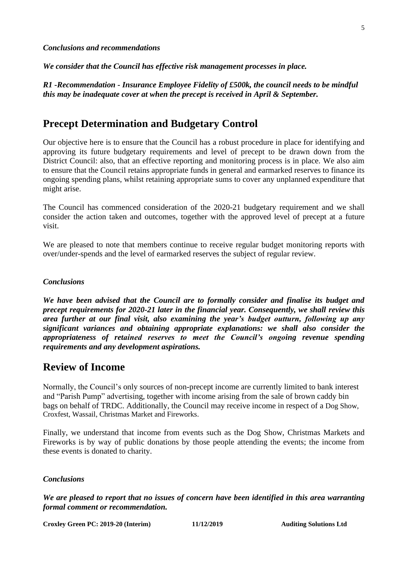*Conclusions and recommendations* 

*We consider that the Council has effective risk management processes in place.*

*R1 -Recommendation - Insurance Employee Fidelity of £500k, the council needs to be mindful this may be inadequate cover at when the precept is received in April & September.*

## **Precept Determination and Budgetary Control**

Our objective here is to ensure that the Council has a robust procedure in place for identifying and approving its future budgetary requirements and level of precept to be drawn down from the District Council: also, that an effective reporting and monitoring process is in place. We also aim to ensure that the Council retains appropriate funds in general and earmarked reserves to finance its ongoing spending plans, whilst retaining appropriate sums to cover any unplanned expenditure that might arise.

The Council has commenced consideration of the 2020-21 budgetary requirement and we shall consider the action taken and outcomes, together with the approved level of precept at a future visit.

We are pleased to note that members continue to receive regular budget monitoring reports with over/under-spends and the level of earmarked reserves the subject of regular review.

#### *Conclusions*

*We have been advised that the Council are to formally consider and finalise its budget and precept requirements for 2020-21 later in the financial year. Consequently, we shall review this area further at our final visit, also examining the year's budget outturn, following up any significant variances and obtaining appropriate explanations: we shall also consider the appropriateness of retained reserves to meet the Council's ongoing revenue spending requirements and any development aspirations.*

#### **Review of Income**

Normally, the Council's only sources of non-precept income are currently limited to bank interest and "Parish Pump" advertising, together with income arising from the sale of brown caddy bin bags on behalf of TRDC. Additionally, the Council may receive income in respect of a Dog Show, Croxfest, Wassail, Christmas Market and Fireworks.

Finally, we understand that income from events such as the Dog Show, Christmas Markets and Fireworks is by way of public donations by those people attending the events; the income from these events is donated to charity.

#### *Conclusions*

*We are pleased to report that no issues of concern have been identified in this area warranting formal comment or recommendation.*

**Croxley Green PC: 2019-20 (Interim) 11/12/2019 Auditing Solutions Ltd**